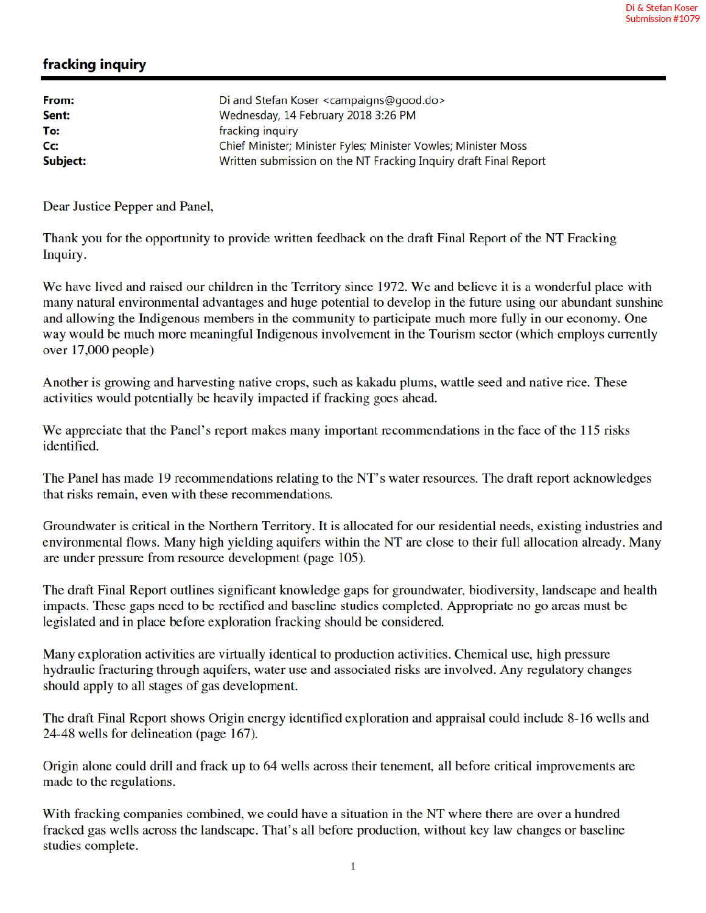## fracking inquiry

| Di and Stefan Koser <campaigns@good.do></campaigns@good.do>      |
|------------------------------------------------------------------|
| Wednesday, 14 February 2018 3:26 PM                              |
| fracking inquiry                                                 |
| Chief Minister; Minister Fyles; Minister Vowles; Minister Moss   |
| Written submission on the NT Fracking Inquiry draft Final Report |
|                                                                  |

Dear Justice Pepper and Panel,

Thank you for the opportunity to provide written feedback on the draft Final Report of the NT Fracking Inquiry.

We have lived and raised our children in the Territory since 1972. We and believe it is a wonderful place with many natural environmental advantages and huge potential to develop in the future using our abundant sunshine and allowing the Indigenous members in the community to participate much more fully in our economy. One way would be much more meaningful Indigenous involvement in the Tourism sector (which employs currently over  $17,000$  people)

Another is growing and harvesting native crops, such as kakadu plums, wattle seed and native rice. These activities would potentially be heavily impacted if fracking goes ahead.

We appreciate that the Panel's report makes many important recommendations in the face of the 115 risks identified.

The Panel has made 19 recommendations relating to the NT's water resources. The draft report acknowledges that risks remain, even with these recommendations.

Groundwater is critical in the Northern Territory. It is allocated for our residential needs, existing industries and environmental flows. Many high yielding aquifers within the NT are close to their full allocation already. Many are under pressure from resource development (page 105).

The draft Final Report outlines significant knowledge gaps for groundwater, biodiversity, landscape and health impacts. These gaps need to be rectified and baseline studies completed. Appropriate no go areas must be legislated and in place before exploration fracking should be considered.

Many exploration activities are virtually identical to production activities. Chemical use, high pressure hydraulic fracturing through aquifers, water use and associated risks are involved. Any regulatory changes should apply to all stages of gas development.

The draft Final Report shows Origin energy identified exploration and appraisal could include 8-16 wells and 24-48 wells for delineation (page 167).

Origin alone could drill and frack up to 64 wells across their tenement, all before critical improvements are made to the regulations.

With fracking companies combined, we could have a situation in the NT where there are over a hundred fracked gas wells across the landscape. That's all before production, without key law changes or baseline studies complete.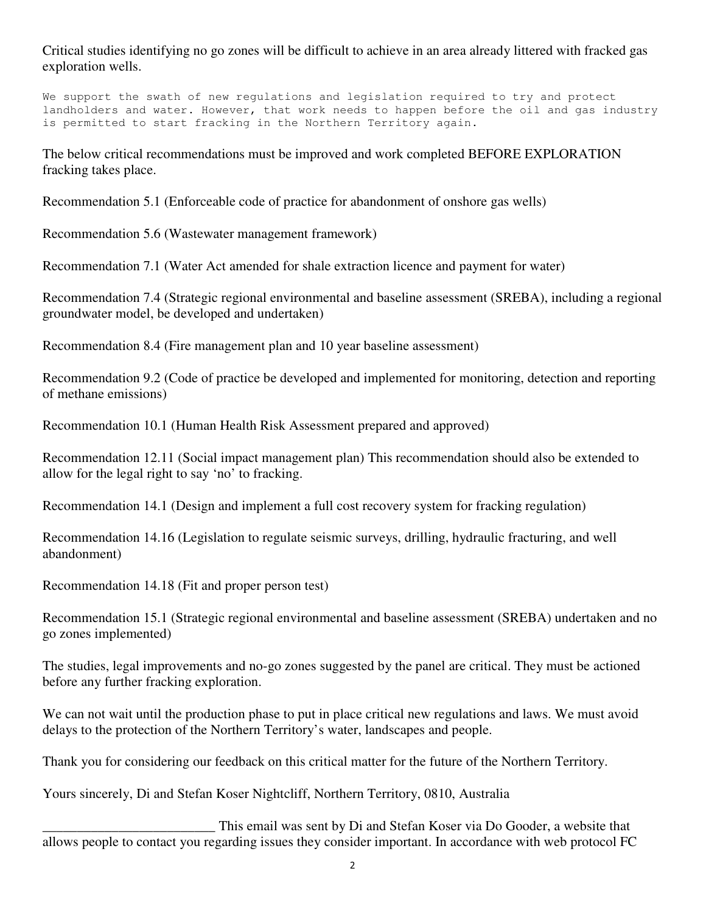Critical studies identifying no go zones will be difficult to achieve in an area already littered with fracked gas exploration wells.

We support the swath of new regulations and legislation required to try and protect landholders and water. However, that work needs to happen before the oil and gas industry is permitted to start fracking in the Northern Territory again.

The below critical recommendations must be improved and work completed BEFORE EXPLORATION fracking takes place.

Recommendation 5.1 (Enforceable code of practice for abandonment of onshore gas wells)

Recommendation 5.6 (Wastewater management framework)

Recommendation 7.1 (Water Act amended for shale extraction licence and payment for water)

Recommendation 7.4 (Strategic regional environmental and baseline assessment (SREBA), including a regional groundwater model, be developed and undertaken)

Recommendation 8.4 (Fire management plan and 10 year baseline assessment)

Recommendation 9.2 (Code of practice be developed and implemented for monitoring, detection and reporting of methane emissions)

Recommendation 10.1 (Human Health Risk Assessment prepared and approved)

Recommendation 12.11 (Social impact management plan) This recommendation should also be extended to allow for the legal right to say 'no' to fracking.

Recommendation 14.1 (Design and implement a full cost recovery system for fracking regulation)

Recommendation 14.16 (Legislation to regulate seismic surveys, drilling, hydraulic fracturing, and well abandonment)

Recommendation 14.18 (Fit and proper person test)

Recommendation 15.1 (Strategic regional environmental and baseline assessment (SREBA) undertaken and no go zones implemented)

The studies, legal improvements and no-go zones suggested by the panel are critical. They must be actioned before any further fracking exploration.

We can not wait until the production phase to put in place critical new regulations and laws. We must avoid delays to the protection of the Northern Territory's water, landscapes and people.

Thank you for considering our feedback on this critical matter for the future of the Northern Territory.

Yours sincerely, Di and Stefan Koser Nightcliff, Northern Territory, 0810, Australia

This email was sent by Di and Stefan Koser via Do Gooder, a website that allows people to contact you regarding issues they consider important. In accordance with web protocol FC